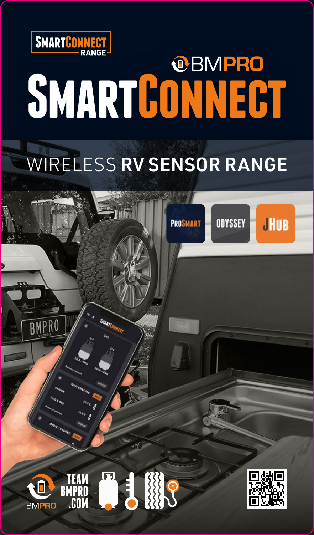

# **SMARTCONNECT**

#### WIRELESS RV SENSOR RANGE

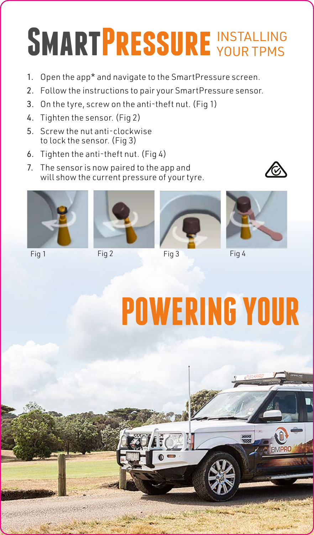# **SMARTPRESSURE WOUR TPMS**

- 1. Open the app\* and navigate to the SmartPressure screen.
- 2. Follow the instructions to pair your SmartPressure sensor.
- 3. On the tyre, screw on the anti-theft nut. (Fig 1)
- 4. Tighten the sensor. (Fig 2)
- 5. Screw the nut anti-clockwise to lock the sensor. (Fig 3)
- 6. Tighten the anti-theft nut. (Fig 4)
- 7. The sensor is now paired to the app and will show the current pressure of your tyre.





Fig 1 Fig 2 Fig 3 Fig 4







# **POWERING YOUR**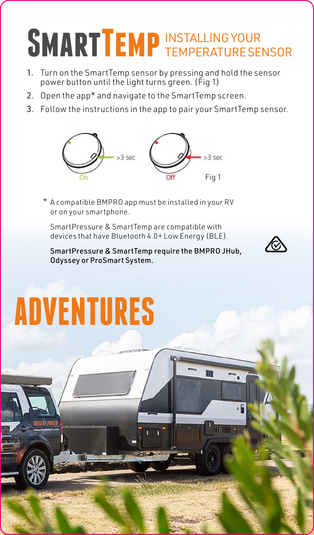# **SMARTTEMP** INSTALLING YOUR

- 1. Turn on the SmartTemp sensor by pressing and hold the sensor power button until the light turns green. (Fig 1)
- 2. Open the app\* and navigate to the SmartTemp screen.
- 3. Follow the instructions in the app to pair your SmartTemp sensor.



A compatible BMPRO app must be installed in your RV \*or on your smartphone.

SmartPressure & SmartTemp are compatible with devices that have Bluetooth 4.0+ Low Energy (BLE).

SmartPressure & SmartTemp require the BMPRO JHub, Odyssey or ProSmart System.

Ш



# **ADVENTURES**